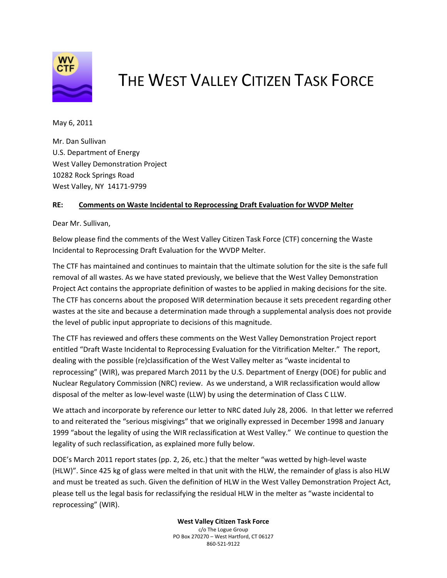

## THE WEST VALLEY CITIZEN TASK FORCE

May 6, 2011

Mr. Dan Sullivan U.S. Department of Energy West Valley Demonstration Project 10282 Rock Springs Road West Valley, NY 14171‐9799

## **RE: Comments on Waste Incidental to Reprocessing Draft Evaluation for WVDP Melter**

Dear Mr. Sullivan,

Below please find the comments of the West Valley Citizen Task Force (CTF) concerning the Waste Incidental to Reprocessing Draft Evaluation for the WVDP Melter.

The CTF has maintained and continues to maintain that the ultimate solution for the site is the safe full removal of all wastes. As we have stated previously, we believe that the West Valley Demonstration Project Act contains the appropriate definition of wastes to be applied in making decisions for the site. The CTF has concerns about the proposed WIR determination because it sets precedent regarding other wastes at the site and because a determination made through a supplemental analysis does not provide the level of public input appropriate to decisions of this magnitude.

The CTF has reviewed and offers these comments on the West Valley Demonstration Project report entitled "Draft Waste Incidental to Reprocessing Evaluation for the Vitrification Melter." The report, dealing with the possible (re)classification of the West Valley melter as "waste incidental to reprocessing" (WIR), was prepared March 2011 by the U.S. Department of Energy (DOE) for public and Nuclear Regulatory Commission (NRC) review. As we understand, a WIR reclassification would allow disposal of the melter as low‐level waste (LLW) by using the determination of Class C LLW.

We attach and incorporate by reference our letter to NRC dated July 28, 2006. In that letter we referred to and reiterated the "serious misgivings" that we originally expressed in December 1998 and January 1999 "about the legality of using the WIR reclassification at West Valley." We continue to question the legality of such reclassification, as explained more fully below.

DOE's March 2011 report states (pp. 2, 26, etc.) that the melter "was wetted by high-level waste (HLW)". Since 425 kg of glass were melted in that unit with the HLW, the remainder of glass is also HLW and must be treated as such. Given the definition of HLW in the West Valley Demonstration Project Act, please tell us the legal basis for reclassifying the residual HLW in the melter as "waste incidental to reprocessing" (WIR).

> **West Valley Citizen Task Force** c/o The Logue Group PO Box 270270 – West Hartford, CT 06127 860‐521‐9122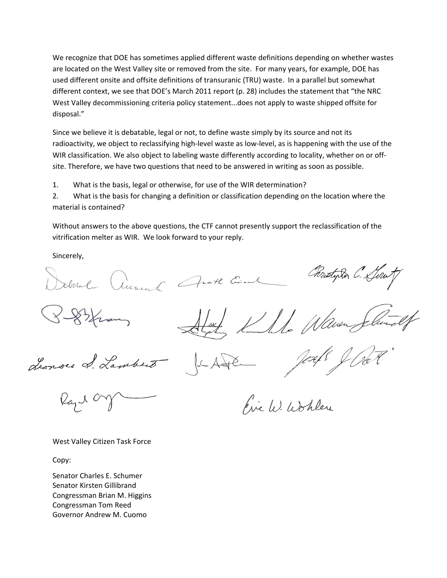We recognize that DOE has sometimes applied different waste definitions depending on whether wastes are located on the West Valley site or removed from the site. For many years, for example, DOE has used different onsite and offsite definitions of transuranic (TRU) waste. In a parallel but somewhat different context, we see that DOE's March 2011 report (p. 28) includes the statement that "the NRC West Valley decommissioning criteria policy statement...does not apply to waste shipped offsite for disposal."

Since we believe it is debatable, legal or not, to define waste simply by its source and not its radioactivity, we object to reclassifying high-level waste as low-level, as is happening with the use of the WIR classification. We also object to labeling waste differently according to locality, whether on or off‐ site. Therefore, we have two questions that need to be answered in writing as soon as possible.

1. What is the basis, legal or otherwise, for use of the WIR determination?

2. What is the basis for changing a definition or classification depending on the location where the material is contained?

Without answers to the above questions, the CTF cannot presently support the reclassification of the vitrification melter as WIR. We look forward to your reply.

Newent Anoth Circul

Sincerely,

Il Waven

Leonore L. Lambert

Rustordon C. Lou

Pinc W. Wohles

West Valley Citizen Task Force

Copy:

Senator Charles E. Schumer Senator Kirsten Gillibrand Congressman Brian M. Higgins Congressman Tom Reed Governor Andrew M. Cuomo